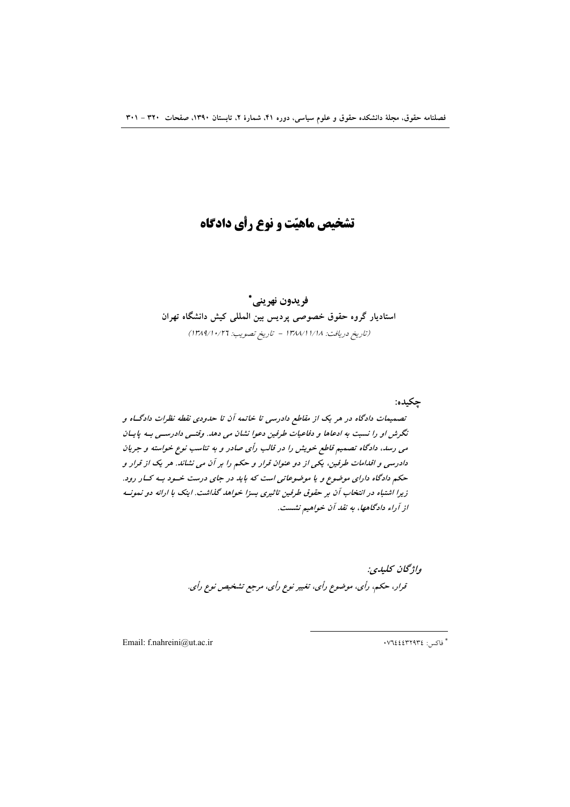# تشخیص ماهیّت و نوع رأی دادگاه

# فريدون نهريني\* استادیار گروه حقوق خصوصی پردیس بین المللی کیش دانشگاه تهران (تاريخ دريافت: ١٣٨٨/١/١/١٨ - تاريخ تصويب: ١٣٨٩/١٠/٢٦)

تصمیمات دادگاه در هر یک از مقاطع دادرسی تا خاتمه آن تا حدودی نقطه نظرات دادگــاه و نگرش او را نسبت به ادعاها و دفاعیات طرفین دعوا نشان می دهد. وقتـی دادرسـی بـه پایـان می رسد، دادگاه تصمیم قاطع خویش را در قالب رأی صادر و به تناسب نوع خواسته و جریان دادرسی و اقدامات طرفین، یکی از دو عنوان قرار و حکم را بر آن می نشاند. هر یک از قرار و حکم دادگاه دارای موضوع و یا موضوعاتی است که باید در جای درست خـود بـه کـار رود. زیرا اشتباه در انتخاب آن بر حقوق طرفین تاثیری بسزا خواهد گذاشت. اینک با ارائه دو نمونـه از آراء دادگاهها، به نقد آن خواهیم نشست.

> واژگان كليدي: قرار، حکم، رأي، موضوع رأي، تغيير نوع رأي، مرجع تشخيص نوع رأي.

Email: f.nahreini@ut.ac.ir

 $\cdot$  ۲۷٦٤٤٤٣٢٩٣٤ ماک

چکیده: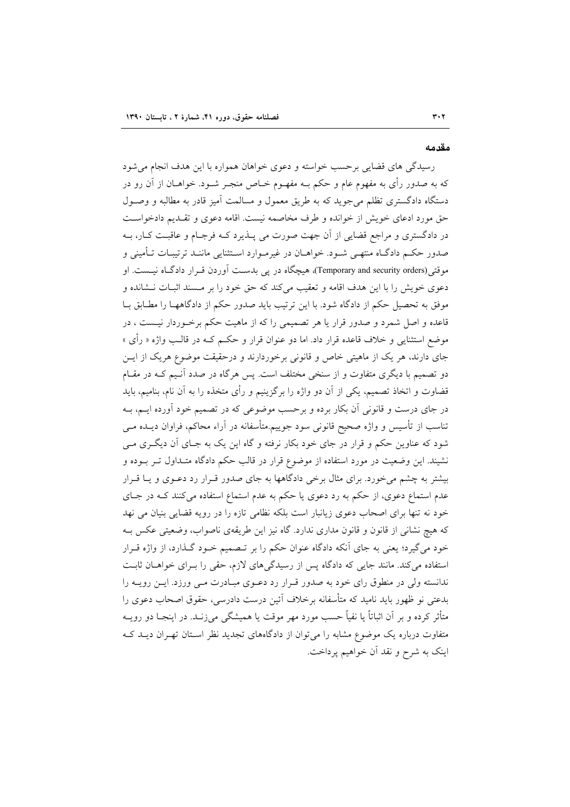#### مقدمه

رسیدگی های قضایی برحسب خواسته و دعوی خواهان همواره با این هدف انجام می شود که به صدور رأى به مفهوم عام و حکم بــه مفهــوم خــاص منجــر شــود. خواهــان از آن رو در دستگاه دادگستری تظلم می جوید که به طریق معمول و مسالمت آمیز قادر به مطالبه و وصـول حق مورد ادعای خویش از خوانده و طرف مخاصمه نیست. اقامه دعوی و تقـدیم دادخواسـت در دادگستری و مراجع قضایی از آن جهت صورت می پــذیرد کــه فرجــام و عاقبــت کــار، بــه صدور حکـم دادگــاه منتهــی شــود. خواهــان در غیرمــوارد اســتثنایی ماننــد ترتیبــات تــأمینی و موقتی(Temporary and security orders)، هیچگاه در یی بدست آوردن قـرار دادگـاه نیـست. او دعوی خویش را با این هدف اقامه و تعقیب میکند که حق خود را بر مسند اثبـات نـشانده و موفق به تحصیل حکم از دادگاه شود. با این ترتیب باید صدور حکم از دادگاههـا را مطـابق بـا قاعده و اصل شمرد و صدور قرار یا هر تصمیمی را که از ماهیت حکم برخـوردار نیــست ، در موضع استثنای<sub>ی</sub> و خلاف قاعده قرار داد. اما دو عنوان قرار و حکـم کــه در قالــب واژه « رأی » جای دارند، هر یک از ماهیتی خاص و قانونی برخوردارند و درحقیقت موضوع هریک از ایــن دو تصمیم با دیگری متفاوت و از سنخی مختلف است. پس هرگاه در صدد آنـیم کـه در مقـام قضاوت و اتخاذ تصمیم، یکی از آن دو واژه را برگزینیم و رأی متخذه را به آن نام، بنامیم، باید در جای درست و قانونی آن بکار برده و برحسب موضوعی که در تصمیم خود آورده ایـم، بـه تناسب از تأسیس و واژه صحیح قانونی سود جوییم.متأسفانه در آراء محاکم، فراوان دیــده مــی شود که عناوین حکم و قرار در جای خود بکار نرفته و گاه این یک به جـای آن دیگـری مـی نشیند. این وضعیت در مورد استفاده از موضوع قرار در قالب حکم دادگاه متـداول تــر بــوده و بیشتر به چشم میخورد. برای مثال برخی دادگاهها به جای صدور قـرار رد دعـوی و یـا قـرار عدم استماع دعوی، از حکم به رد دعوی یا حکم به عدم استماع استفاده میکنند کـه در جـای خود نه تنها برای اصحاب دعوی زیانبار است بلکه نظامی تازه را در رویه قضایی بنیان می نهد که هیچ نشانی از قانون و قانون مداری ندارد. گاه نیز این طریقهی ناصواب، وضعیتی عکس بـه خود میگیرد؛ یعنی به جای آنکه دادگاه عنوان حکم را بر تـصمیم خــود گــذارد، از واژه قــرار استفاده می کند. مانند جایی که دادگاه پس از رسیدگیهای لازم، حقی را بـرای خواهـان ثابـت ندانسته ولی در منطوق رای خود به صدور قـرار رد دعـوی مبـادرت مـی ورزد. ایــن رویــه را بدعتی نو ظهور باید نامید که متأسفانه برخلاف آئین درست دادرسی، حقوق اصحاب دعوی را متأثر کرده و بر آن اثباتاً یا نفیاً حسب مورد مهر موقت یا همیشگی می;زنـد. در اینجـا دو رویــه متفاوت درباره یک موضوع مشابه را میتوان از دادگاههای تجدید نظر استان تهـران دیـد کـه اینک به شرح و نقد آن خواهیم پرداخت.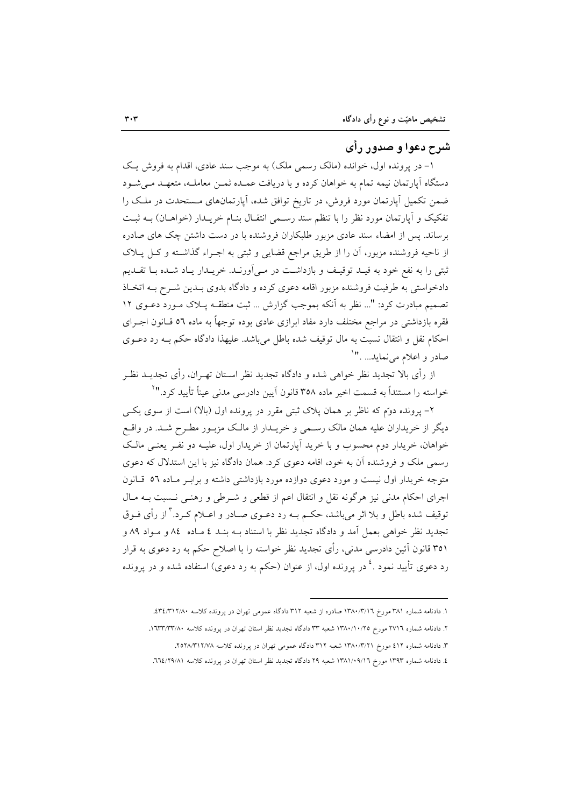## شرح دعوا و صدور رأي

۱- در پرونده اول، خوانده (مالک رسمی ملک) به موجب سند عادی، اقدام به فروش یک دستگاه آیارتمان نیمه تمام به خواهان کرده و با دریافت عمـده ثمـن معاملـه، متعهـد مـی شـود ضمن تکمیل آپارتمان مورد فروش، در تاریخ توافق شده، آپارتمانهای مستحدت در ملک را تفکیک و آپارتمان مورد نظر را با تنظم سند رسمی انتقـال بنـام خریـدار (خواهـان) بـه ثبـت برساند. پس از امضاء سند عادی مزبور طلبکاران فروشنده با در دست داشتن چک های صادره از ناحیه فروشنده مزبور، آن را از طریق مراجع قضایی و ثبتی به اجـراء گذاشـته و کـل پــلاک ثبتی را به نفع خود به قیـد توقیـف و بازداشـت در مـیآورنـد. خریـدار یـاد شـده بـا تقـدیم دادخواستی به طرفیت فروشنده مزبور اقامه دعوی کرده و دادگاه بدوی بـدین شـرح بـه اتخـاذ تصميم مبادرت كرد: "... نظر به آنكه بموجب گزارش ... ثبت منطقـه پـلاک مـورد دعـوى ١٢ فقره بازداشتی در مراجع مختلف دارد مفاد ابرازی عادی بوده توجهاً به ماده ٥٦ قــانون اجــرای احکام نقل و انتقال نسبت به مال توقیف شده باطل میباشد. علیهذا دادگاه حکم بـه رد دعـوی صادر و اعلام مي نمايد... ."`

از رأى بالا تجديد نظر خواهي شده و دادگاه تجديد نظر اسـتان تهـران، رأى تجديــد نظـر خواسته را مستنداً به قسمت اخیر ماده ۳۵۸ قانون آیین دادرسی مدنی عیناً تأیید کرد.''<sup>۲</sup>

۲– پرونده دوم که ناظر بر همان پلاک ثبتی مقرر در پرونده اول (بالا) است از سوی یکسی دیگر از خریداران علیه همان مالک رسـمی و خریــدار از مالـک مزبـور مطـرح شــد. در واقــع خواهان، خریدار دوم محسوب و با خرید آپارتمان از خریدار اول، علیـه دو نفـر یعنـی مالـک رسمی ملک و فروشنده آن به خود، اقامه دعوی کرد. همان دادگاه نیز با این استدلال که دعوی متوجه خریدار اول نیست و مورد دعوی دوازده مورد بازداشتی داشته و براب ماده ٥٦ قبانون اجرای احکام مدنی نیز هرگونه نقل و انتقال اعم از قطعی و شـرطی و رهنـی نـسبت بـه مـال توقیف شده باطل و بلا اثر میباشد، حکـم بــه رد دعــوی صــادر و اعــلام کــرد.<sup>۳</sup> از رأی فــوق تجدید نظر خواهی بعمل آمد و دادگاه تجدید نظر با استناد بـه بنــد ٤ مــاده ٨٤ و مــواد ٨٩ و ۳۵۱ قانون آئین دادرسی مدنی، رأی تجدید نظر خواسته را با اصلاح حکم به رد دعوی به قرار رد دعوی تأیید نمود .<sup>٤</sup> در پرونده اول، از عنوان (حکم به رد دعوی) استفاده شده و در پرونده

۱. دادنامه شماره ۳۸۱ مورخ ۱۳۸۰/۳/۱٦ صادره از شعبه ۳۱۲ دادگاه عمومی تهران در پرونده کلاسه ۳٤/۳۱۲/۸۰.

۲. دادنامه شماره ۲۷۱٦ مورخ ۱۳۸۰/۱۰/۲۵ شعبه ۳۳ دادگاه تجدید نظر استان تهران در یرونده کلاسه ۱۳۳/۳۳/۸۰.

۳. دادنامه شماره ٤١٢ مورخ ١٣٨٠/٣/٢١ شعبه ٣١٢ دادگاه عمومي تهران در پرونده کلاسه ٢٥٢٨/٣١٢/٧٨.

٤. دادنامه شماره ١٣٩٣ مورخ ١٣٨١/٠٩/١٦ شعبه ٢٩ دادگاه تجديد نظر استان تهران در پرونده كلاسه ٦٦٤/٢٩/٨١.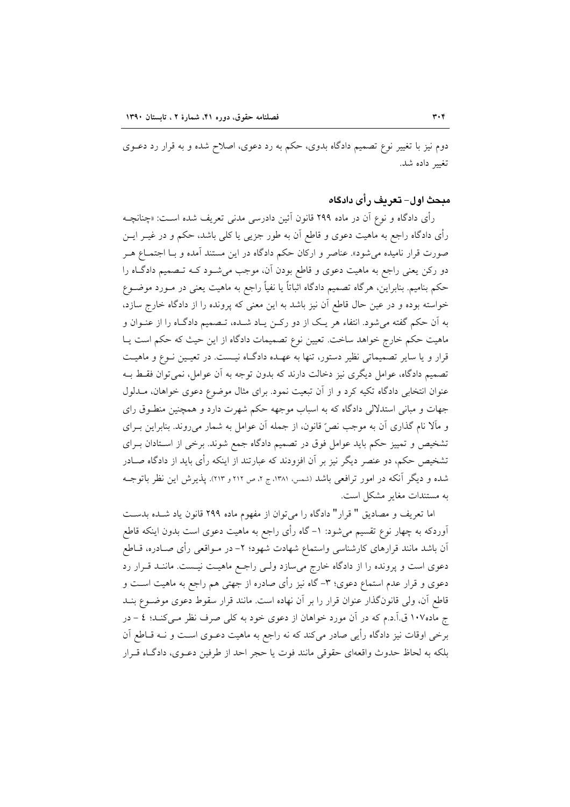دوم نیز با تغییر نوع تصمیم دادگاه بدوی، حکم به رد دعوی، اصلاح شده و به قرار رد دعــوی تغيير داده شد.

#### مبحث اول– تعريف رأى دادكاه

رأى دادگاه و نوع آن در ماده ۲۹۹ قانون آئين دادرسي مدن<sub>ى</sub> تعريف شده اسـت: «چنانچــه رأی دادگاه راجع به ماهیت دعوی و قاطع آن به طور جزیی یا کلی باشد، حکم و در غیــر ایــن صورت قرار نامیده میشود». عناصر و ارکان حکم دادگاه در این مستند آمده و بـا اجتمـاع هــر دو رکن یعنی راجع به ماهیت دعوی و قاطع بودن آن، موجب میشـود کـه تـصمیم دادگـاه را حکم بنامیم. بنابراین، هرگاه تصمیم دادگاه اثباتاً یا نفیاً راجع به ماهیت یعنی در مـورد موضـوع خواسته بوده و در عین حال قاطع آن نیز باشد به این معنی که پرونده را از دادگاه خارج سازد، به آن حکم گفته می شود. انتفاء هر یک از دو رکـن یـاد شـده، تـصمیم دادگـاه را از عنـوان و ماهیت حکم خارج خواهد ساخت. تعیین نوع تصمیمات دادگاه از این حیث که حکم است پـا قرار و یا سایر تصمیماتی نظیر دستور، تنها به عهـده دادگـاه نیـست. در تعیـین نـوع و ماهیـت تصمیم دادگاه، عوامل دیگری نیز دخالت دارند که بدون توجه به آن عوامل، نمی توان فقط بـه عنوان انتخابی دادگاه تکیه کرد و از آن تبعیت نمود. برای مثال موضوع دعوی خواهان، مــدلول جهات و مبانی استدلالی دادگاه که به اسباب موجهه حکم شهرت دارد و همچنین منطـوق رای و مآلا نام گذاری آن به موجب نصِّ قانون، از جمله آن عوامل به شمار می روند. بنابراین بـرای تشخیص و تمییز حکم باید عوامل فوق در تصمیم دادگاه جمع شوند. برخی از اسـتادان بـرای تشخیص حکم، دو عنصر دیگر نیز بر آن افزودند که عبارتند از اینکه رأی باید از دادگاه صـادر شده و دیگر آنکه در امور ترافعی باشد (شمس، ۱۳۸۱، ج ۲، ص ۲۱۲ و ۲۱۳). پذیرش این نظر باتوجــه به مستندات مغایر مشکل است.

اما تعریف و مصادیق " قرار" دادگاه را می توان از مفهوم ماده ۲۹۹ قانون یاد شـده بدسـت اَوردکه به چهار نوع تقسیم میشود: ١– گاه رأی راجع به ماهیت دعوی است بدون اینکه قاطع اّن باشد مانند قرارهای کارشناسی واستماع شهادت شهود؛ ۲– در مـواقعی رأی صـادره، قــاطع دعوی است و پرونده را از دادگاه خارج میسازد ولـی راجـع ماهیـت نیـست. ماننـد قـرار رد دعوی و قرار عدم استماع دعوی؛ ۳- گاه نیز رأی صادره از جهتی هم راجع به ماهیت است و قاطع آن، ولي قانون گذار عنوان قرار را بر آن نهاده است. مانند قرار سقوط دعوى موضـوع بنـد ج ماده۱۰۷ق.آ.د.م که در آن مورد خواهان از دعوی خود به کلی صرف نظر مـیکنـد؛ ٤ - در برخی اوقات نیز دادگاه رأیی صادر میکند که نه راجع به ماهیت دعـوی اسـت و نــه قــاطع آن بلكه به لحاظ حدوث واقعهاى حقوقى مانند فوت يا حجر احد از طرفين دعـوى، دادگـاه قـرار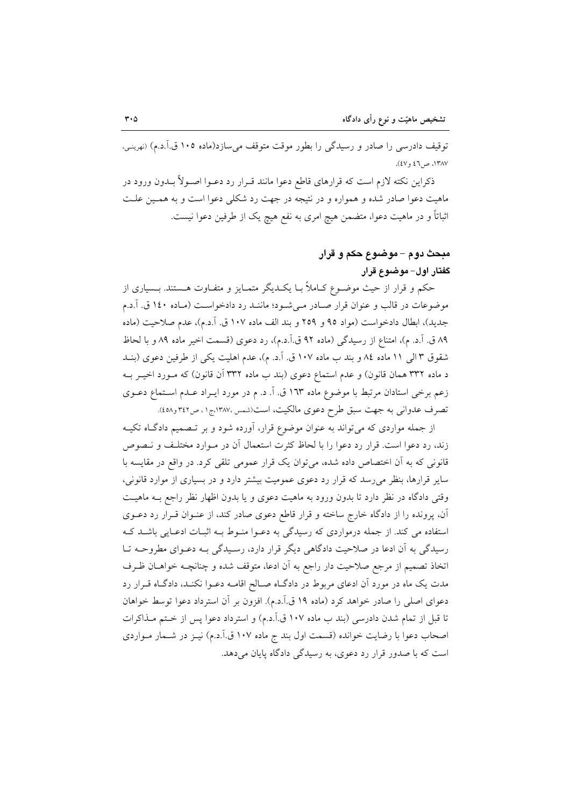توقیف دادرسی را صادر و رسیدگی را بطور موقت متوقف میسازد(ماده ۱۰۵ ق.آ.د.م) (نهرینی، ١٣٨٧، ص ٤٦ و ٤٧).

ذکراین نکته لازم است که قرارهای قاطع دعوا مانند قــرار رد دعــوا اصــولأ بــدون ورود در ماهیت دعوا صادر شده و همواره و در نتیجه در جهت رد شکلی دعوا است و به همـین علـت اثباتاً و در ماهیت دعوا، متضمن هیچ امری به نفع هیچ یک از طرفین دعوا نیست.

# مبحث دوم – موضوع حکم و قرار گفتار اول-موضوع قرار

حکم و قرار از حیث موضـوع کـاملاً بـا یکـدیگر متمـایز و متفـاوت هـستند. بـسیاری از موضوعات در قالب و عنوان قرار صـادر مـیشـود؛ ماننـد رد دادخواسـت (مـاده ١٤٠ ق. آ.د.م جديد)، ابطال دادخواست (مواد ٩٥ و ٢٥٩ و بند الف ماده ١٠٧ ق. آ.د.م)، عدم صلاحيت (ماده ٨٩ ق. آ.د. م)، امتناع از رسيدگي (ماده ٩٢ ق.آ.د.م)، رد دعوي (قسمت اخير ماده ٨٩ و با لحاظ شقوق ٣ اللي ١١ ماده ٨٤ و بند ب ماده ١٠٧ ق. آ.د. م)، عدم اهليت يكي از طرفين دعوى (بنـد د ماده ۳۳۲ همان قانون) و عدم استماع دعوی (بند ب ماده ۳۳۲ آن قانون) که مـورد اخیـر بـه زعم برخی استادان مرتبط با موضوع ماده ١٦٣ ق. اَ. د. م در مورد ایـراد عـدم اسـتماع دعـوی تصرف عدوانی به جهت سبق طرح دعوی مالکیت، است(شمس،۱۳۸۷،ج۱، ص۴۲۲و۵۸).

از جمله مواردی که میتواند به عنوان موضوع قرار، آورده شود و بر تـصمیم دادگـاه تکیــه زند، رد دعوا است. قرار رد دعوا را با لحاظ کثرت استعمال آن در مـوارد مختلـف و نـصوص قانونی که به آن اختصاص داده شده، میتوان یک قرار عمومی تلقی کرد. در واقع در مقایسه با سایر قرارها، بنظر می رسد که قرار رد دعوی عمومیت بیشتر دارد و در بسیاری از موارد قانونی، وقتی دادگاه در نظر دارد تا بدون ورود به ماهیت دعوی و یا بدون اظهار نظر راجع بـه ماهیـت آن، پرونده را از دادگاه خارج ساخته و قرار قاطع دعوی صادر کند، از عنـوان قـرار رد دعــوی استفاده می کند. از جمله درمواردی که رسیدگی به دعـوا منـوط بـه اثبـات ادعـایی باشـد کـه رسیدگی به آن ادعا در صلاحیت دادگاهی دیگر قرار دارد، رسیدگی بـه دعـوای مطروحـه تـا اتخاذ تصمیم از مرجع صلاحیت دار راجع به آن ادعا، متوقف شده و چنانچـه خواهــان ظـرف مدت یک ماه در مورد آن ادعای مربوط در دادگـاه صـالح اقامـه دعـوا نکنـد، دادگـاه قـرار رد دعواي اصلي را صادر خواهد كرد (ماده ١٩ ق.آ.د.م). افزون بر أن استرداد دعوا توسط خواهان تا قبل از تمام شدن دادرسی (بند ب ماده ۱۰۷ ق.آ.د.م) و استرداد دعوا پس از ختم مـذاکرات اصحاب دعوا با رضایت خوانده (قسمت اول بند ج ماده ۱۰۷ ق.اً.د.م) نیـز در شـمار مـواردی است که با صدور قرار رد دعوی، به رسیدگی دادگاه پایان میدهد.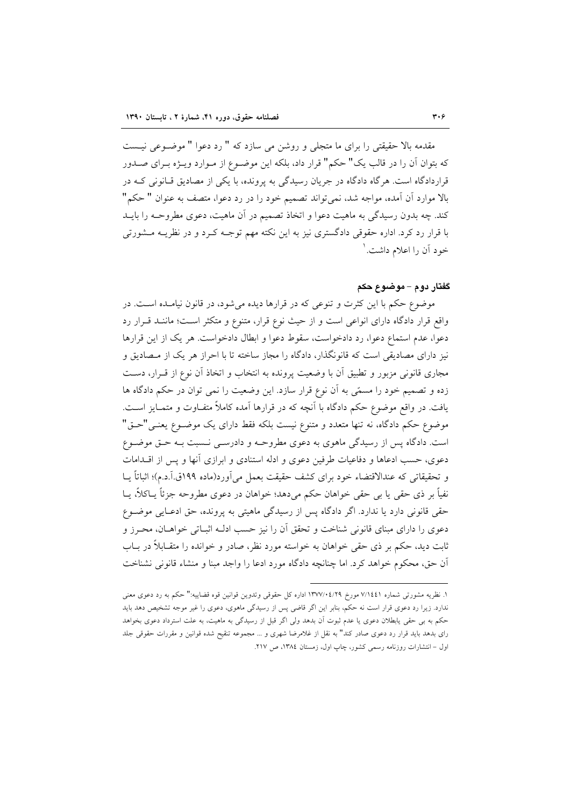مقدمه بالا حقیقتی را برای ما متجلی و روشن می سازد که " رد دعوا " موضـوعی نیـست كه بتوان آن را در قالب يك" حكم" قرار داد، بلكه اين موضـوع از مـوارد ويـــ;ه بــراي صــدور قراردادگاه است. هرگاه دادگاه در جریان رسیدگی به پرونده، با یکی از مصادیق قـانونی کــه در بالا موارد أن أمده، مواجه شد، نمي تواند تصميم خود را در رد دعوا، متصف به عنوان " حكم" کند. چه بدون رسیدگی به ماهیت دعوا و اتخاذ تصمیم در آن ماهیت، دعوی مطروحــه را بایــد با قرار رد کرد. اداره حقوقی دادگستری نیز به این نکته مهم توجـه کـرد و در نظریــه مــشورتی خود آن را اعلام داشت. ١

#### گفتار دوم – موضوع حکم

موضوع حکم با این کثرت و تنوعی که در قرارها دیده می شود، در قانون نیامـده اسـت. در واقع قرار دادگاه دارای انواعی است و از حیث نوع قرار، متنوع و متکثر است؛ ماننـد قـرار رد دعوا، عدم استماع دعوا، رد دادخواست، سقوط دعوا و ابطال دادخواست. هر یک از این قرارها نیز دارای مصادیقی است که قانونگذار، دادگاه را مجاز ساخته تا با احراز هر یک از مـصادیق و مجاری قانونی مزبور و تطبیق آن با وضعیت پرونده به انتخاب و اتخاذ آن نوع از قـرار، دسـت زده و تصمیم خود را مسمّی به آن نوع قرار سازد. این وضعیت را نمی توان در حکم دادگاه ها یافت. در واقع موضوع حکم دادگاه با آنچه که در قرارها آمده کاملاً متفـاوت و متمـایز اسـت. موضوع حکم دادگاه، نه تنها متعدد و متنوع نیست بلکه فقط دارای یک موضـوع یعنـی"حـق" است. دادگاه پس از رسیدگی ماهوی به دعوی مطروحـه و دادرسـی نـسبت بـه حـق موضـوع دعوی، حسب ادعاها و دفاعیات طرفین دعوی و ادله استنادی و ابرازی آنها و پس از اقــدامات و تحقیقاتی که عندالاقتضاء خود برای کشف حقیقت بعمل می آورد(ماده ۱۹۹ق.آ.د.م)؛ اثباتاً پــا نفياً بر ذي حقى يا بي حقى خواهان حكم مىدهد؛ خواهان در دعوى مطروحه جزئاً يــاكلاً، يــا حقی قانونی دارد یا ندارد. اگر دادگاه پس از رسیدگی ماهیتی به پرونده، حق ادعایی موضوع دعوی را دارای مبنای قانونی شناخت و تحقق آن را نیز حسب ادلـه اثبــاتی خواهــان، محـرز و ثابت دید، حکم بر ذی حقی خواهان به خواسته مورد نظر، صادر و خوانده را متقــابلاً در بــاب أن حق، محكوم خواهد كرد. اما چنانچه دادگاه مورد ادعا را واجد مبنا و منشاء قانوني نشناخت

١. نظريه مشورتي شماره ٧/١٤٤١ مورخ ١٣٧٧/٠٤/٢٩ اداره كل حقوقي وتدوين قوانين قوه قضاييه:" حكم به رد دعوى معنى ندارد. زیرا رد دعوی قرار است نه حکم، بنابر این اگر قاضی پس از رسیدگی ماهوی، دعوی را غیر موجه تشخیص دهد باید حکم به بی حقی یابطلان دعوی یا عدم ثبوت آن بدهد ولی اگر قبل از رسیدگی به ماهیت، به علت استرداد دعوی بخواهد رای بدهد باید قرار رد دعوی صادر کند" به نقل از غلامرضا شهری و ... مجموعه تنقیح شده قوانین و مقررات حقوقی جلد اول – انتشارات روزنامه رسمی کشور، چاپ اول، زمستان ١٣٨٤، ص ٢١٧.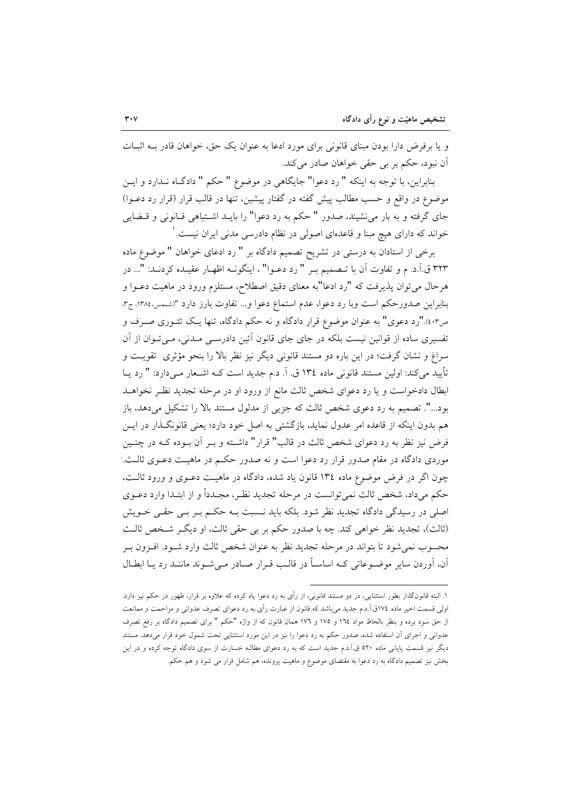و یا بر فرض دارا بودن مبنای قانونی برای مورد ادعا به عنوان یک حق، خواهان قادر بـه اثبـات آن نبود، حکم بر بي حقي خواهان صادر مي کند.

بنابراین، با توجه به اینکه " رد دعوا" جایگاهی در موضوع " حکم " دادگـاه نــدارد و ایــن موضوع در واقع و حسب مطالب پیش گفته در گفتار پیشین، تنها در قالب قرار (قرار رد دعـوا) جای گرفته و به بار می نشیند، صدور " حکم به رد دعوا" را بایــد اشــتباهی قــانونی و قــضایی خواند که دارای هیچ مبنا و قاعدهای اصولی در نظام دادرسی مدنی ایران نیست. ٰ

برخی از استادان به درستی در تشریح تصمیم دادگاه بر " رد ادعای خواهان " موضوع ماده ۳۲۳ ق.آ.د. م و تفاوت آن با تـصميم بـر " رد دعـوا" ، اينگونـه اظهـار عقيـده كردنـد: "... در هرحال می توان پذیرفت که "رد ادعا"به معنای دقیق اصطلاح، مستلزم ورود در ماهیت دعــوا و بنابراین صدورحکم است وبا رد دعوا، عدم استماع دعوا و... تفاوت بارز دارد "(شمس،١٣٨٤، ج٣، ص۰۳)."رد دعوی" به عنوان موضوع قرار دادگاه و نه حکم دادگاه، تنها یـک تئــوری صــرف و تفسیری ساده از قوانین نیست بلکه در جای جای قانون آئین دادرسـی مـدنی، مـی تـوان از آن سراغ و نشان گرفت؛ در این باره دو مستند قانونی دیگر نیز نظر بالا را بنحو مؤثری تقویت و تأييد مي كند: اولين مستند قانوني ماده ١٣٤ ق. آ. د.م جديد است كــه اشــعار مــي دارد: " رد يــا ابطال دادخواست و یا رد دعوای شخص ثالث مانع از ورود او در مرحله تجدید نظـر نخواهــد بود...". تصمیم به رد دعوی شخص ثالث که جزیی از مدلول مستند بالا را تشکیل میدهد، باز هم بدون اینکه از قاعده امر عدول نماید، بازگشتی به اصل خود دارد؛ یعنی قانونگـذار در ایــن فرض نیز نظر به رد دعوای شخص ثالث در قالب" قرار" داشته و بـر آن بـوده کـه در چنـین موردی دادگاه در مقام صدور قرار رد دعوا است و نه صدور حکـم در ماهیـت دعـوی ثالـث. چون اگر در فرض موضوع ماده ١٣٤ قانون ياد شده، دادگاه در ماهيت دعـوى و ورود ثالـث، حکم میداد، شخص ثالث نمیتوانست در مرحله تجدید نظـر، مجـدداً و از ابتـدا وارد دعــوی اصلی در رسیدگی دادگاه تجدید نظر شود. بلکه باید نـسبت بـه حکـم بـر بـی حقـی خـویش (ثالث)، تجدید نظر خواهی کند. چه با صدور حکم بر بی حقی ثالث، او دیگ شخص ثالث محسوب نمي شود تا بتواند در مرحله تجديد نظر به عنوان شخص ثالث وارد شـود. افـزون بـر آن، آوردن سایر موضـوعاتی کـه اساسـاً در قالـب قـرار صـادر مـی شـوند ماننـد رد یـا ابطـال

۱. البته قانونگذار بطور استثنایی، در دو مستند قانونی، از رأی به رد دعوا یاد کرده که علاوه بر قرار، ظهور در حکم نیز دارد. اولی قسمت اخیر ماده ۱۷٤ق.آ.د.م جدید میباشد که قانون از عبارت رأی به رد دعوای تصرف عدوانی و مزاحمت و ممانعت از حق سود برده و بنظر بالحاظ مواد ١٦٤ و ١٧٥ و ١٧٦ همان قانون كه از واژه "حكم " براى تصميم دادگاه بر رفع تصرف عدوانی و اجرای آن استفاده شده، صدور حکم به رد دعوا را نیز در این مورد استثنایی تحت شمول خود قرار میدهد. مستند دیگر نیز قسمت پایانی ماده ٥٢٠ ق.اَ.د.م جدید است که به رد دعوای مطالبه خسارت از سوی دادگاه توجه کرده و در این بخش نیز تصمیم دادگاه به رد دعوا به مقتضای موضوع و ماهیت پرونده، هم شامل قرار می شود و هم حکم.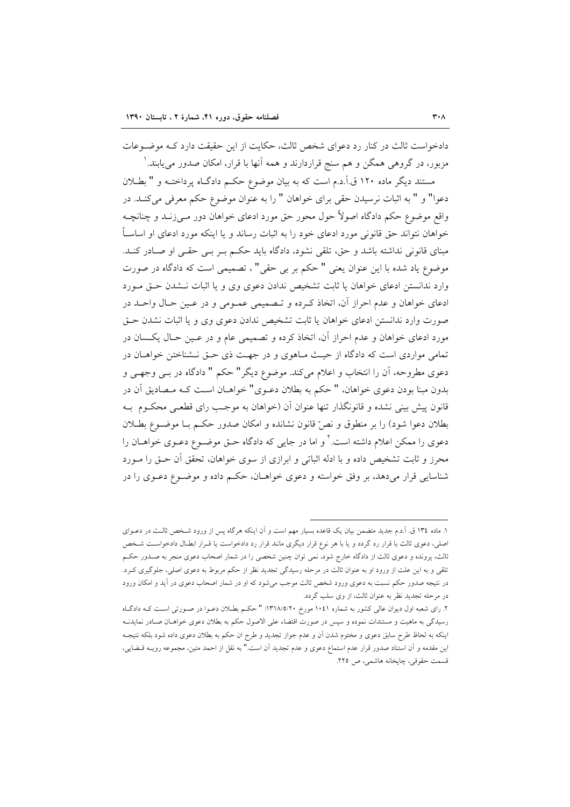دادخواست ثالث در کنار رد دعوای شخص ثالث، حکایت از این حقیقت دارد کـه موضـوعات مزبور، در گروهی همگن و هم سنج قراردارند و همه آنها با قرار، امکان صدور می یابند. '

مستند دیگر ماده ۱۲۰ ق.آ.د.م است که به بیان موضوع حکـم دادگـاه پرداختـه و "بطـلان دعوا" و " به اثبات نرسیدن حقی برای خواهان " را به عنوان موضوع حکم معرفی میکند. در واقع موضوع حکم دادگاه اصولاً حول محور حق مورد ادعای خواهان دور مبی زنید و چنانچیه خواهان نتواند حق قانونی مورد ادعای خود را به اثبات رساند و یا اینکه مورد ادعای او اساسـاً مبنای قانونی نداشته باشد و حق، تلقی نشود، دادگاه باید حکم بـر بـی حقـی او صـادر کنـد. موضوع یاد شده با این عنوان یعنی " حکم بر بی حقی" ، تصمیمی است که دادگاه در صورت وارد ندانستن ادعای خواهان یا ثابت تشخیص ندادن دعوی وی و یا اثبات نـشدن حـق مـورد ادعای خواهان و عدم احراز آن، اتخاذ کرده و تـصمیمی عمـومی و در عـین حـال واحـد در صورت وارد ندانستن ادعای خواهان یا ثابت تشخیص ندادن دعوی وی و یا اثبات نشدن حـق مورد ادعای خواهان و عدم احراز آن، اتخاذ کرده و تصمیمی عام و در عـین حـال یکـسان در تمامی مواردی است که دادگاه از حیث مـاهوی و در جهـت ذی حـق نـشناختن خواهـان در دعوی مطروحه، آن را انتخاب و اعلام می کند. موضوع دیگر " حکم " دادگاه در ببی وجهبی و بدون مبنا بودن دعوی خواهان، " حکم به بطلان دعــوی" خواهــان اســت کــه مــصاديق آن در قانون پیش بینی نشده و قانونگذار تنها عنوان آن (خواهان به موجب رای قطعـی محکـوم بـه بطلان دعوا شود) را بر منطوق و نصٌّ قانون نشانده و امکان صدور حکـم بــا موضــوع بطــلان دعوی را ممکن اعلام داشته است. ٔ و اما در جایی که دادگاه حــق موضــوع دعــوی خواهــان را محرز و ثابت تشخیص داده و با ادله اثباتی و ابرازی از سوی خواهان، تحقق آن حـق را مـورد شناسایی قرار میدهد، بر وفق خواسته و دعوی خواهـان، حکـم داده و موضـوع دعـوی را در

١. ماده ١٣٤ ق. أ.د.م جديد متضمن بيان يک قاعده بسيار مهم است و اّن اينکه هر گاه پس از ورود شـخص ثالـث در دعـواي اصلی، دعوی ثالث با قرار رد گردد و یا با هر نوع قرار دیگری مانند قرار رد دادخواست یا قـرار ابطـال دادخواسـت شـخص ثالث، پرونده و دعوی ثالث از دادگاه خارج شود، نمی توان چنین شخصی را در شمار اصحاب دعوی منجر به صـدور حکـم تلقی و به این علت از ورود او به عنوان ثالث در مرحله رسیدگی تجدید نظر از حکم مربوط به دعوی اصلی، جلوگیری کـرد. در نتیجه صدور حکم نسبت به دعوی ورود شخص ثالث موجب میشود که او در شمار اصحاب دعوی در آید و امکان ورود در مرحله تجدید نظر به عنوان ثالث، از وی سلب گردد.

۲. رای شعبه اول دیوان عالی کشور به شماره ۱۰٤۱ مورخ ۱۳۱۸/۵/۲۰: " حکـم بطـلان دعـوا در صـورتی اسـت کـه دادگـاه رسیدگی به ماهیت و مستندات نموده و سپس در صورت اقتضاء علی الاصول حکم به بطلان دعوی خواهــان صــادر نمایدنــه اینکه به لحاظ طرح سابق دعوی و مختوم شدن آن و عدم جواز تجدید و طرح ان حکم به بطلان دعوی داده شود بلکه نتیجـه این مقدمه و آن استناد صدور قرار عدم استماع دعوی و عدم تجدید آن است." به نقل از احمد متین، مجموعه رویــه قــضایی، قسمت حقوقي، چاپخانه هاشمي، ص ٢٢٥.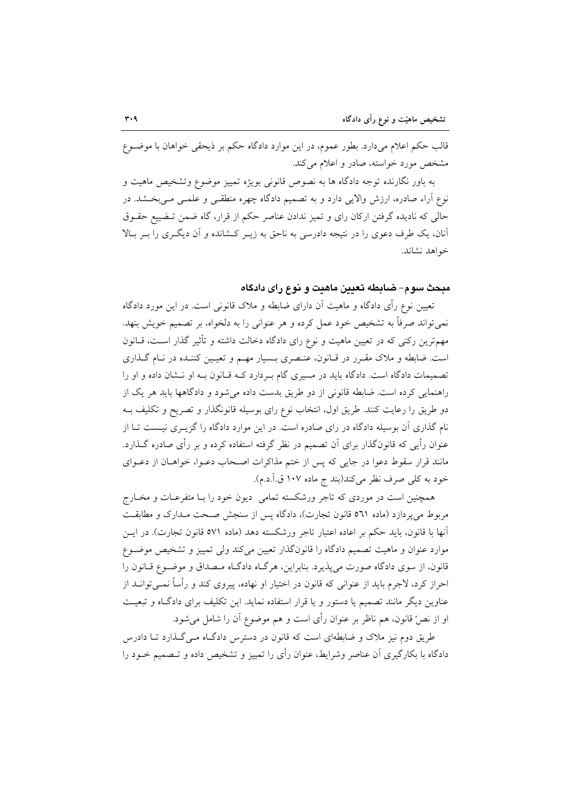قالب حکم اعلام میدارد. بطور عموم، در این موارد دادگاه حکم بر ذیحقی خواهان با موضـوع مشخص مورد خواسته، صادر و اعلام می کند.

به باور نگارنده توجه دادگاه ها به نصوص قانونی بویژه تمییز موضوع وتشخیص ماهیت و نوع آراء صادره، ارزش والایی دارد و به تصمیم دادگاه چهره منطقـی و علمـی مـیبخـشد. در حالی که نادیده گرفتن ارکان رای و تمیز ندادن عناصر حکم از قرار، گاه ضمن تـضییع حقــوق آنان، یک طرف دعوی را در نتیجه دادرسی به ناحق به زیـر کـشانده و آن دیگـری را بـر بـالا خواهد نشاند.

#### مبحث سوم–ضابطه تعيين ماهيت و نوع راى دادگاه

تعیین نوع رأی دادگاه و ماهیت آن دارای ضابطه و ملاک قانونی است. در این مورد دادگاه نمی تواند صرفاً به تشخیص خود عمل کرده و هر عنوانی را به دلخواه، بر تصمیم خویش بنهد. مهمترین رکنی که در تعیین ماهیت و نوع رای دادگاه دخالت داشته و تأثیر گذار است، قـانون است. ضابطه و ملاک مقـرر در قـانون، عنـصری بـسیار مهـم و تعیـین کننـده در نـام گـذاری تصمیمات دادگاه است. دادگاه باید در مسیری گام بـردارد کـه قـانون بـه او نـشان داده و او را راهنمایی کرده است. ضابطه قانونی از دو طریق بدست داده می شود و دادگاهها باید هر یک از دو طریق را رعایت کنند. طریق اول، انتخاب نوع رای بوسیله قانونگذار و تصریح و تکلیف بـه نام گذاری آن بوسیله دادگاه در رای صادره است. در این موارد دادگاه را گزیـری نیـست تـا از عنوان رأیی که قانونگذار برای آن تصمیم در نظر گرفته استفاده کرده و بر رأی صادره گـذارد. مانند قرار سقوط دعوا در جایی که پس از ختم مذاکرات اصـحاب دعـوا، خواهــان از دعــوای خود به كلي صرف نظر مي كند(بند ج ماده ١٠٧ ق.آ.د.م).

همچنین است در موردی که تاجر ورشکسته تمامی دیون خود را بـا متفرعـات و مخـارج مربوط می پردازد (ماده ٥٦١ قانون تجارت)، دادگاه پس از سنجش صحت مـدارک و مطابقـت آنها با قانون، باید حکم بر اعاده اعتبار تاجر ورشکسته دهد (ماده ٥٧١ قانون تجارت). در ایــن موارد عنوان و ماهیت تصمیم دادگاه را قانونگذار تعیین میکند ولی تمییز و تشخیص موضـوع قانون، از سوی دادگاه صورت می پذیرد. بنابراین، هرگIه دادگـاه مـصداق و موضـوع قـانون را احراز کرد، لاجرم باید از عنوانی که قانون در اختیار او نهاده، پیروی کند و رأساً نمــیتوانــد از عناوین دیگر مانند تصمیم یا دستور و یا قرار استفاده نماید. این تکلیف برای دادگاه و تبعیت او از نصّ قانون، هم ناظر بر عنوان رأى است و هم موضوع آن را شامل مى شود.

طریق دوم نیز ملاک و ضابطهای است که قانون در دسترس دادگـاه مـی گـذارد تـا دادرس دادگاه با بکارگیری آن عناصر وشرایط، عنوان رأی را تمییز و تشخیص داده و تـصمیم خــود را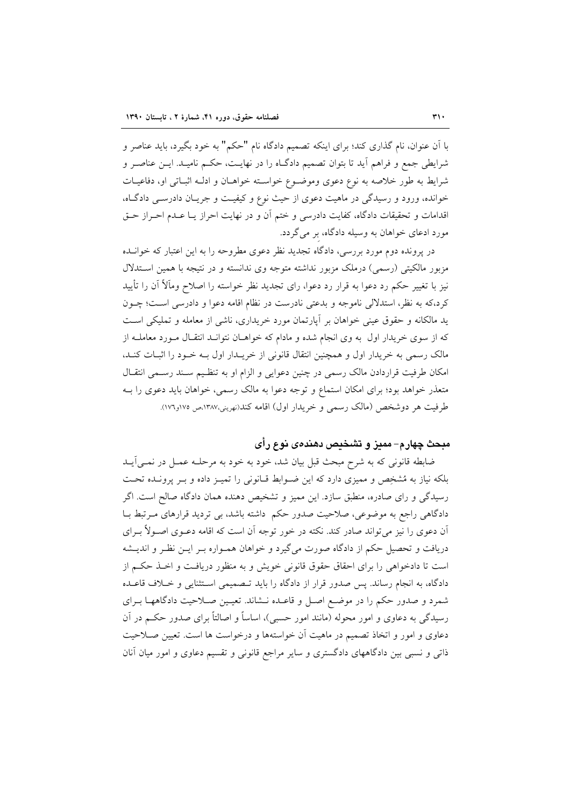با آن عنوان، نام گذاری کند؛ برای اینکه تصمیم دادگاه نام "حکم" به خود بگیرد، باید عناصر و شرايطي جمع و فراهم أيد تا بتوان تصميم دادگـاه را در نهايـت، حكـم ناميـد. ايـن عناصـر و شرايط به طور خلاصه به نوع دعوى وموضـوع خواسـته خواهـان و ادلـه اثبـاتي او، دفاعيـات خوانده، ورود و رسیدگی در ماهیت دعوی از حیث نوع و کیفیـت و جریـان دادرسـی دادگـاه، اقدامات و تحقیقات دادگاه، کفایت دادرسی و ختم آن و در نهایت احراز یـا عـدم احـراز حـق مورد ادعای خواهان به وسیله دادگاه، بر میگردد.

در پرونده دوم مورد بررسی، دادگاه تجدید نظر دعوی مطروحه را به این اعتبار که خوانـده مزبور مالکیتی (رسمی) درملک مزبور نداشته متوجه وی ندانسته و در نتیجه با همین استدلال نیز با تغییر حکم رد دعوا به قرار رد دعوا، رای تجدید نظر خواسته را اصلاح ومآلاً آن را تأیید كرد،كه به نظر، استدلالي ناموجه و بدعتي نادرست در نظام اقامه دعوا و دادرسي است؛ چــون ید مالکانه و حقوق عینی خواهان بر آپارتمان مورد خریداری، ناشبی از معامله و تملیکی است که از سوی خریدار اول به وی انجام شده و مادام که خواهـان نتوانـد انتقـال مـورد معاملـه از مالک رسمی به خریدار اول و همچنین انتقال قانونی از خریـدار اول بــه خــود را اثبــات کنــد، امکان طرفیت قراردادن مالک رسمی در چنین دعوایی و الزام او به تنظیم سـند رسـمی انتقـال متعذر خواهد بود؛ برای امکان استماع و توجه دعوا به مالک رسمی، خواهان باید دعوی را بـه طرفيت هر دوشخص (مالک رسمي و خريدار اول) اقامه کند(نهريني،١٣٨٧مي ١٧٥و١٧٦).

#### مبحث چهارم– ممیز و تشخیص دهندهی نوع رأی

ضابطه قانونی که به شرح مبحث قبل بیان شد، خود به خود به مرحلـه عمـل در نمـی اَیــد بلکه نیاز به مُشخِص و ممیزی دارد که این ضـوابط قـانونی را تمیـز داده و بـر پرونـده تحـت رسیدگی و رای صادره، منطبق سازد. این ممیز و تشخیص دهنده همان دادگاه صالح است. اگر دادگاهی راجع به موضوعی، صلاحیت صدور حکم داشته باشد، بی تردید قرارهای مـرتبط بـا آن دعوی را نیز می تواند صادر کند. نکته در خور توجه آن است که اقامه دعــوی اصــولاً بــرای دریافت و تحصیل حکم از دادگاه صورت میگیرد و خواهان همـواره بـر ایـن نظـر و اندیـشه است تا دادخواهی را برای احقاق حقوق قانونی خویش و به منظور دریافت و اخـذ حکـم از دادگاه، به انجام رساند. پس صدور قرار از دادگاه را باید تـصمیمی اسـتثنایی و خــلاف قاعــده شمرد و صدور حکم را در موضع اصـل و قاعـده نــشاند. تعیـین صـلاحیت دادگاههـا بـرای رسیدگی به دعاوی و امور محوله (مانند امور حسبی)، اساساً و اصالتاً برای صدور حکـم در آن دعاوی و امور و اتخاذ تصمیم در ماهیت آن خواستهها و درخواست ها است. تعیین صـلاحیت ذاتی و نسبی بین دادگاههای دادگستری و سایر مراجع قانونی و تقسیم دعاوی و امور میان آنان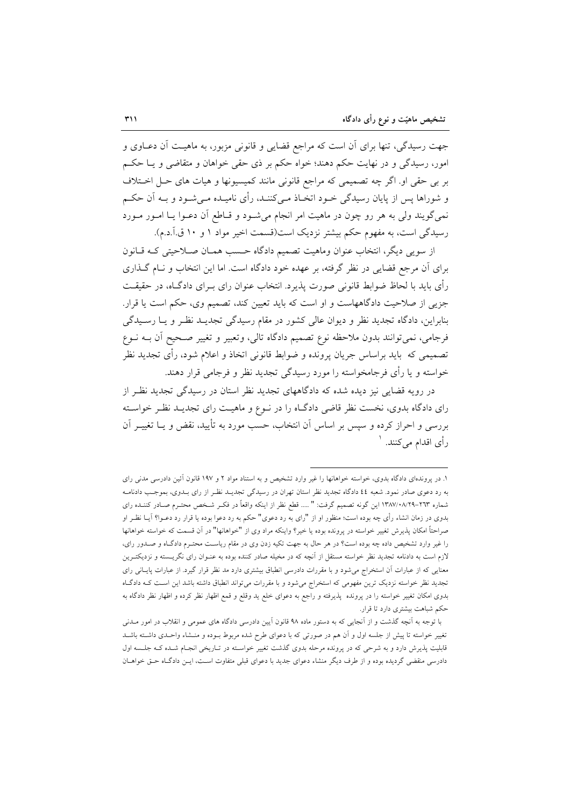جهت رسیدگی، تنها برای آن است که مراجع قضایی و قانونی مزبور، به ماهیـت آن دعــاوی و امور، رسیدگی و در نهایت حکم دهند؛ خواه حکم بر ذی حقی خواهان و متقاضی و یــا حکــم بر بی حقی او. اگر چه تصمیمی که مراجع قانونی مانند کمیسیونها و هیات های حـل اخـتلاف و شوراها پس از پایان رسیدگی خـود اتخـاذ مـیکننـد، رأی نامیـده مـیشـود و بـه اَن حکـم نمی گویند ولی به هر رو چون در ماهیت امر انجام میشود و قـاطع آن دعـوا یـا امـور مـورد رسیدگی است، به مفهوم حکم بیشتر نزدیک است(قسمت اخیر مواد ۱ و ۱۰ ق.آ.د.م).

از سویی دیگر، انتخاب عنوان وماهیت تصمیم دادگاه حسب همـان صـلاحیتی کـه قـانون برای آن مرجع قضایی در نظر گرفته، بر عهده خود دادگاه است. اما این انتخاب و نـام گــذاری رأى بايد با لحاظ ضوابط قانوني صورت يذيرد. انتخاب عنوان راي بـراي دادگــاه، در حقيقــت جزیی از صلاحیت دادگاههاست و او است که باید تعیین کند، تصمیم وی، حکم است یا قرار. بنابراین، دادگاه تجدید نظر و دیوان عالی کشور در مقام رسیدگی تجدیـد نظـر و یـا رسـیدگی فرجامي، نميتوانند بدون ملاحظه نوع تصميم دادگاه تالي، وتعبير و تغيير صـحيح آن بــه نــوع تصمیمی که باید براساس جریان پرونده و ضوابط قانونی اتخاذ و اعلام شود، رأی تجدید نظر خواسته و یا رأی فرجامخواسته را مورد رسیدگی تجدید نظر و فرجامی قرار دهند.

در رویه قضایی نیز دیده شده که دادگاههای تجدید نظر استان در رسیدگی تجدید نظـر از رای دادگاه بدوی، نخست نظر قاضی دادگـاه را در نـوع و ماهیـت رای تجدیـد نظـر خواسـته بررسی و احراز کرده و سپس بر اساس آن انتخاب، حسب مورد به تأیید، نقض و یــا تغییــر آن رأى اقدام مى كنند. ا

١. در پروندهای دادگاه بدوی، خواسته خواهانها را غیر وارد تشخیص و به استناد مواد ٢ و ١٩٧ قانون آئین دادرسی مدنی رای به رد دعوی صادر نمود. شعبه ٤٤ دادگاه تجدید نظر استان تهران در رسیدگی تجدیـد نظـر از رای بــدوی، بموجـب دادنامــه شماره ٢٦٣-١٣٨٧/٠٨/٢٩ اين گونه تصميم گرفت: " ..... قطع نظر از اينكه واقعاً در فكـر شـخص محتـرم صـادر كننـده راى بدوی در زمان انشاء رأی چه بوده است؛ منظور او از "رای به رد دعوی" حکم به رد دعوا بوده یا قرار رد دعــوا؟ آیــا نظــر او صراحتاً امکان پذیرش تغییر خواسته در پرونده بوده یا خیر؟ واینکه مراد وی از "خواهانها" در آن قسمت که خواسته خواهانها را غیر وارد تشخیص داده چه بوده است؟ در هر حال به جهت تکیه زدن وی در مقام ریاست محتـرم دادگـاه و صـدور رای، لازم است به دادنامه تجدید نظر خواسته مستقل از آنچه که در مخیله صادر کننده بوده به عنــوان رای نگریـــسته و نزدیکتــرین معنایی که از عبارات اَن استخراج میشود و با مقررات دادرسی انطباق بیشتری دارد مد نظر قرار گیرد. از عبارات پایـانی رای تجدید نظر خواسته نزدیک ترین مفهومی که استخراج می شود و با مقررات می تواند انطباق داشته باشد این اسـت کــه دادگــاه بدوی امکان تغییر خواسته را در پرونده پذیرفته و راجع به دعوای خلع ید وقلع و قمع اظهار نظر کرده و اظهار نظر دادگاه به حکم شباهت بیشتری دارد تا قرار.

با توجه به آنچه گذشت و از آنجایی که به دستور ماده ۹۸ قانون آیین دادرسی دادگاه های عمومی و انقلاب در امور مــدنی تغییر خواسته تا پیش از جلسه اول و آن هم در صورتی که با دعوای طرح شده مربوط بــوده و منــشاء واحــدی داشــته باشــد قابلیت پذیرش دارد و به شرحی که در پرونده مرحله بدوی گذشت تغییر خواسته در تـاریخی انجـام شـده کـه جلـسه اول دادرسی منقضی گردیده بوده و از طرف دیگر منشاء دعوای جدید با دعوای قبلی متفاوت است، ایـن دادگـاه حـق خواهــان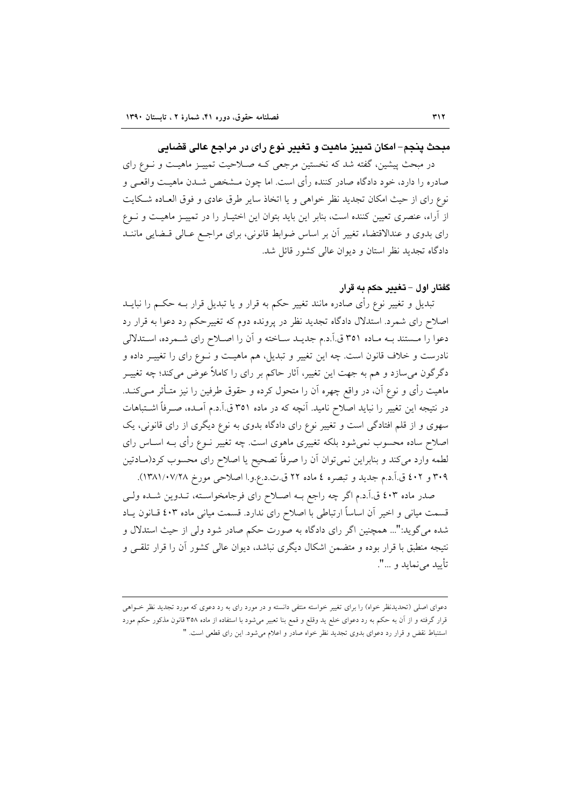## مبحث پنجم- امکان تمييز ماهيت و تغيير نوع رای در مراجع عالي قضايي

در مبحث پیشین، گفته شد که نخستین مرجعی کـه صـلاحیت تمییـز ماهیـت و نـوع رای صادره را دارد، خود دادگاه صادر کننده رأی است. اما چون مــشخص شــدن ماهیــت واقعــی و نوع رای از حیث امکان تجدید نظر خواهی و یا اتخاذ سایر طرق عادی و فوق العـاده شـکایت از آراء، عنصری تعیین کننده است، بنابر این باید بتوان این اختیـار را در تمییـز ماهیـت و نــوع رای بدوی و عندالاقتضاء تغییر أن بر اساس ضوابط قانونی، برای مراجع عـالی قـضایی ماننــد دادگاه تجدید نظر استان و دیوان عالی کشور قائل شد.

### گفتار اول – تغدیر حکم به قرار

تبدیل و تغییر نوع رأی صادره مانند تغییر حکم به قرار و یا تبدیل قرار بــه حکــم را نبایــد اصلاح رای شمرد. استدلال دادگاه تجدید نظر در پرونده دوم که تغییرحکم رد دعوا به قرار رد دعوا را مستند بـه مـاده ٣٥١ ق.آ.د.م جديـد سـاخته و آن را اصـلاح راي شـمرده، اسـتدلالي نادرست و خلاف قانون است. چه این تغییر و تبدیل، هم ماهیـت و نـوع رای را تغییـر داده و دگرگون می سازد و هم به جهت این تغییر، آثار حاکم بر رای را کاملاً عوض میکند؛ چه تغییــر ماهیت رأی و نوع آن، در واقع چهره آن را متحول کرده و حقوق طرفین را نیز متـأثر مـیکنـد. در نتیجه این تغییر را نباید اصلاح نامید. آنچه که در ماده ۳۵۱ ق.آ.د.م آمـده، صـرفاً اشـتباهات سهوی و از قلم افتادگی است و تغییر نوع رای دادگاه بدوی به نوع دیگری از رای قانونی، یک اصلاح ساده محسوب نمیشود بلکه تغییری ماهوی است. چه تغییر نــوع رأی بــه اســاس رای لطمه وارد میکند و بنابراین نمیتوان آن را صرفاً تصحیح یا اصلاح رای محسوب کرد(مـادتین ٣٠٩ و ٤٠٢ ق.آ.د.م جديد و تبصره ٤ ماده ٢٢ ق.ت.د.ع.و.ا اصلاحي مورخ ١٣٨١/٠٧/٢٨).

صدر ماده ٤٠٣ ق.آ.د.م اگر چه راجع بـه اصـلاح راي فرجامخواسـته، تـدوين شـده ولـي قسمت میانی و اخیر آن اساساً ارتباطی با اصلاح رای ندارد. قسمت میانی ماده ٤٠٣ قـانون يـاد شده می گوید:"... همچنین اگر رای دادگاه به صورت حکم صادر شود ولی از حیث استدلال و نتیجه منطبق با قرار بوده و متضمن اشکال دیگری نباشد، دیوان عالمی کشور آن را قرار تلقـی و تأبيد مي نمايد و ...".

دعوای اصلی (تحدیدنظر خواه) را برای تغییر خواسته منتفی دانسته و در مورد رای به رد دعوی که مورد تجدید نظر خـواهی قرار گرفته و از آن به حکم به رد دعوای خلع ید وقلع و قمع بنا تعبیر میشود با استفاده از ماده ۳۵۸ قانون مذکور حکم مورد استنباط نقض و قرار رد دعوای بدوی تجدید نظر خواه صادر و اعلام میشود. این رای قطعی است. "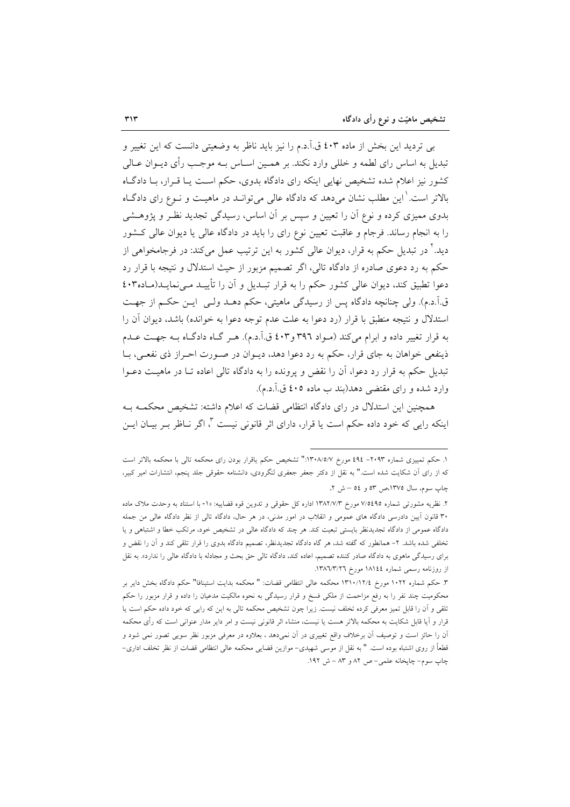بی تردید این بخش از ماده ٤٠٣ ق.آ.د.م را نیز باید ناظر به وضعیتی دانست که این تغییر و تبدیل به اساس رای لطمه و خللی وارد نکند. بر همـین اسـاس بـه موجـب رأی دیــوان عــالی کشور نیز اعلام شده تشخیص نهایی اینکه رای دادگاه بدوی، حکم است یـا قـرار، بـا دادگـاه بالاتر است. ٰ این مطلب نشان میدهد که دادگاه عالی می توانــد در ماهیــت و نــوع رای دادگــاه بدوی ممیزی کرده و نوع آن را تعیین و سپس بر آن اساس، رسیدگی تجدید نظـر و پژوهـشی را به انجام رساند. فرجام و عاقبت تعیین نوع رای را باید در دادگاه عالی یا دیوان عالی کشور دید.' در تبدیل حکم به قرار، دیوان عالی کشور به این ترتیب عمل میکند: در فرجامخواهی از حکم به رد دعوی صادره از دادگاه تالی، اگر تصمیم مزبور از حیث استدلال و نتیجه با قرار رد دعوا تطبیق کند، دیوان عالی کشور حکم را به قرار تبـدیل و آن را تأییـد مـینمایـد(مـاده۲۰۲ ق آ.د.م). ولي چنانچه دادگاه پس از رسيدگي ماهيتي، حكم دهــد ولــي ايــن حكــم از جهــت استدلال و نتيجه منطبق با قرار (رد دعوا به علت عدم توجه دعوا به خوانده) باشد، ديوان آن را به قرار تغییر داده و ابرام میکند (مـواد ۳۹٦ و۶۰۳ ق.آ.د.م). هـر گـاه دادگـاه بـه جهـت عـدم ذینفعی خواهان به جای قرار، حکم به رد دعوا دهد، دیـوان در صـورت احـراز ذی نفعـی، بـا تبدیل حکم به قرار رد دعوا، آن را نقض و پرونده را به دادگاه تالی اعاده تـا در ماهیـت دعــوا وارد شده و رای مقتضی دهد(بند ب ماده ٤٠٥ ق.آ.د.م).

همچنین این استدلال در رای دادگاه انتظامی قضات که اعلام داشته: تشخیص محکمـه بـه اینکه رایی که خود داده حکم است یا قرار، دارای اثر قانونی نیست ۳، اگر نــاظر بــر بیــان ایــن

١. حكم تمييزي شماره ٢٠٩٣- ٤٩٤ مورخ ١٣٠٨/٥/٧:" تشخيص حكم ياقرار بودن راى محكمه تالي با محكمه بالاتر است كه از راى آن شكايت شده است." به نقل از دكتر جعفر جعفرى لنگرودى، دانشنامه حقوقى جلد پنجم، انتشارات امير كبير، چاپ سوم، سال ١٣٧٥،ص ٥٣ و ٥٤ – ش ٢.

۲. نظریه مشورتی شماره ۷/٥٤٩٥ مورخ ۱۳۸۲/۷/۳ اداره کل حقوقی و تدوین قوه قضاییه: ۱۰- با استناد به وحدت ملاک ماده ۳۰ قانون آیین دادرسی دادگاه های عمومی و انقلاب در امور مدنی، در هر حال، دادگاه تالی از نظر دادگاه عالی من جمله دادگاه عمومی از دادگاه تجدیدنظر بایستی تبعیت کند. هر چند که دادگاه عالی در تشخیص خود، مرتکب خطا و اشتباهی و یا تخلفی شده باشد. ۲- همانطور که گفته شد، هر گاه دادگاه تجدیدنظر، تصمیم دادگاه بدوی را قرار تلقی کند و آن را نقض و برای رسیدگی ماهوی به دادگاه صادر کننده تصمیم، اعاده کند، دادگاه تالی حق بحث و مجادله با دادگاه عالی را ندارد». به نقل از روزنامه رسمی شماره ١٨١٤٤ مورخ ١٣٨٦/٣/٢٦.

٣. حكم شماره ١٠٢٢ مورخ ١٣١٠/١٢/٤ محكمه عالمي انتظامي قضات: " محكمه بدايت استينافا" حكم دادگاه بخش داير بر محکومیت چند نفر را به رفع مزاحمت از ملکی فسخ و قرار رسیدگی به نحوه مالکیت مدعیان را داده و قرار مزبور را حکم تلقی و آن را قابل تمیز معرفی کرده تخلف نیست. زیرا چون تشخیص محکمه تالی به این که رایی که خود داده حکم است یا قرار و اَیا قابل شکایت به محکمه بالاتر هست یا نیست، منشاء اثر قانونی نیست و امر دایر مدار عنوانی است که رأی محکمه آن را حائز است و توصیف اَن برخلاف واقع تغییری در اَن نمیدهد ، بعلاوه در معرفی مزبور نظر سویی تصور نمی شود و قطعاً از روی اشتباه بوده است. " به نقل از موسی شهیدی- موازین قضایی محکمه عالی انتظامی قضات از نظر تخلف اداری-چاپ سوم- چاپخانه علمي- ص ٨٢ و ٨٣ - ش ١٩٢.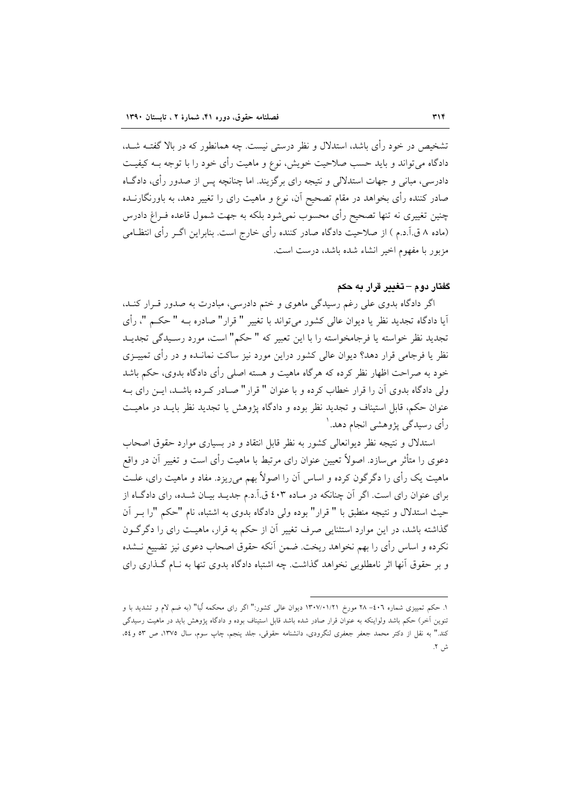تشخیص در خود رأی باشد، استدلال و نظر درستی نیست. چه همانطور که در بالا گفتــه شــد، دادگاه می تواند و باید حسب صلاحیت خویش، نوع و ماهیت رأی خود را با توجه بــه کیفیــت دادرسی، مبانی و جهات استدلالی و نتیجه رای برگزیند. اما چنانچه پس از صدور رأی، دادگــاه صادر کننده رأی بخواهد در مقام تصحیح آن، نوع و ماهیت رای را تغییر دهد، به باورنگارنــده چنین تغییری نه تنها تصحیح رأی محسوب نمیشود بلکه به جهت شمول قاعده فـراغ دادرس (ماده ۸ ق.آ.د.م ) از صلاحیت دادگاه صادر کننده رأی خارج است. بنابراین اگــر رأی انتظــامی مزبور با مفهوم اخیر انشاء شده باشد، درست است.

#### گفتار دوم – تغییر قرار به حکم

اگر دادگاه بدوی علی رغم رسیدگی ماهوی و ختم دادرسی، مبادرت به صدور قـرار کنـد. آيا دادگاه تجديد نظر يا ديوان عالي كشور مي تواند با تغيير " قرار" صادره بــه " حكــم "، رأى تجديد نظر خواسته يا فرجامخواسته را با اين تعبير كه " حكم" است، مورد رسـيدگي تجديـد نظر یا فرجامی قرار دهد؟ دیوان عالی کشور دراین مورد نیز ساکت نمانــده و در رأی تمییـزی خود به صراحت اظهار نظر کرده که هرگاه ماهیت و هسته اصلی رأی دادگاه بدوی، حکم باشد ولی دادگاه بدوی آن را قرار خطاب کرده و با عنوان " قرار" صـادر کـرده باشـد، ايـن رای بـه عنوان حکم، قابل استیناف و تجدید نظر بوده و دادگاه پژوهش یا تجدید نظر بایـد در ماهیـت رأي رسيدگي پژوهشي انجام دهد. ٰ

استدلال و نتیجه نظر دیوانعالی کشور به نظر قابل انتقاد و در بسیاری موارد حقوق اصحاب دعوی را متأثر می سازد. اصولاً تعیین عنوان رای مرتبط با ماهیت رأی است و تغییر آن در واقع ماهیت یک رأی را دگرگون کرده و اساس آن را اصولاً بهم میریزد. مفاد و ماهیت رای، علـت برای عنوان رای است. اگر آن چنانکه در مـاده ٤٠٣ ق.آ.د.م جدیــد بیــان شــده، رای دادگــاه از حيث استدلال و نتيجه منطبق با " قرار" بوده ولي دادگاه بدوي به اشتباه، نام "حكم "را بـر آن گذاشته باشد، در این موارد استثنایی صرف تغییر آن از حکم به قرار، ماهیـت رای را دگر گــون نکرده و اساس رأی را بهم نخواهد ریخت. ضمن آنکه حقوق اصحاب دعوی نیز تضییع نــشده و بر حقوق آنها اثر نامطلوبی نخواهد گذاشت. چه اشتباه دادگاه بدوی تنها به نـام گـذاری رای

۱. حکم تمییزی شماره ۰-٤- ۲۸ مورخ ۱۳۰۷/۰۱/۲۱ دیوان عالی کشور:" اگر رای محکمه لُبا" (به ضم لام و تشدید با و تنوین آخر) حکم باشد ولواینکه به عنوان قرار صادر شده باشد قابل استیناف بوده و دادگاه پژوهش باید در ماهیت رسیدگی کند." به نقل از دکتر محمد جعفر جعفری لنگرودی، دانشنامه حقوقی، جلد پنجم، چاپ سوم، سال ۱۳۷۵، ص ۵۳ و٥٤، ش ۲.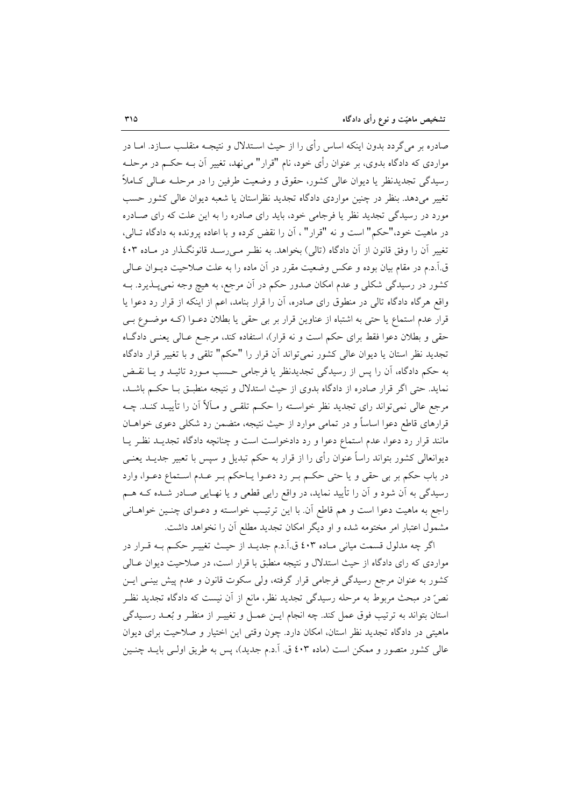صادره بر می گردد بدون اینکه اساس رأی را از حیث اسـتدلال و نتیجـه منقلـــــ ســازد. امــا در مواردي كه دادگاه بدوي، بر عنوان رأي خود، نام "قرار" مي نهد، تغيير آن بــه حكــم در مرحلــه رسیدگی تجدیدنظر یا دیوان عالی کشور، حقوق و وضعیت طرفین را در مرحلـه عـالی کـاملاً تغییر میدهد. بنظر در چنین مواردی دادگاه تجدید نظراستان یا شعبه دیوان عالی کشور حسب مورد در رسیدگی تجدید نظر یا فرجامی خود، باید رای صادره را به این علت که رای صـادره در ماهيت خود،"حكم" است و نه "قرار" ، آن را نقض كرده و با اعاده پرونده به دادگاه تـالى، تغییر آن را وفق قانون از آن دادگاه (تالی) بخواهد. به نظر مـیرسـد قانونگـذار در مـاده ٤٠٣ ق.آ.د.م در مقام بیان بوده و عکس وضعیت مقرر در آن ماده را به علت صلاحیت دیــوان عــالـی کشور در رسیدگی شکلی و عدم امکان صدور حکم در آن مرجع، به هیچ وجه نمیپــذیرد. بــه واقع هرگاه دادگاه تالی در منطوق رای صادره، آن را قرار بنامد، اعم از اینکه از قرار رد دعوا یا قرار عدم استماع یا حتی به اشتباه از عناوین قرار بر بی حقی یا بطلان دعـوا (کـه موضـوع بـی حقی و بطلان دعوا فقط برای حکم است و نه قرار)، استفاده کند، مرجـع عـالی یعنـی دادگـاه تجدید نظر استان یا دیوان عالی کشور نمی تواند آن قرار را "حکم" تلقی و با تغییر قرار دادگاه به حکم دادگاه، آن را پس از رسیدگی تجدیدنظر یا فرجامی حسب مـورد تائیـد و یـا نقـض نماید. حتی اگر قرار صادره از دادگاه بدوی از حیث استدلال و نتیجه منطبـق بـا حکـم باشـد، مرجع عالی نمی تواند رای تجدید نظر خواسـته را حکـم تلقـی و مـاَلاً اَن را تأییــد کنــد. چــه قرارهای قاطع دعوا اساساً و در تمامی موارد از حیث نتیجه، متضمن رد شکلی دعوی خواهــان مانند قرار رد دعوا، عدم استماع دعوا و رد دادخواست است و چنانچه دادگاه تجدیـد نظـر یـا دیوانعالی کشور بتواند راساً عنوان رأی را از قرار به حکم تبدیل و سپس با تعبیر جدیــد یعنــی در باب حکم بر بي حقي و يا حتى حکـم بـر رد دعـوا يـاحکم بـر عـدم اسـتماع دعـوا، وارد رسیدگی به آن شود و آن را تأیید نماید، در واقع رایی قطعی و یا نهـایی صــادر شــده کــه هــم راجع به ماهیت دعوا است و هم قاطع آن. با این ترتیب خواسـته و دعـوای چنـین خواهــانی مشمول اعتبار امر مختومه شده و او دیگر امکان تجدید مطلع آن را نخواهد داشت.

اگر چه مدلول قسمت میانی مـاده ٤٠٣ ق.اَ.د.م جدیــد از حیــث تغییــر حکــم بــه قــرار در مواردی که رای دادگاه از حیث استدلال و نتیجه منطبق با قرار است، در صلاحیت دیوان عـالی کشور به عنوان مرجع رسیدگی فرجامی قرار گرفته، ولی سکوت قانون و عدم پیش بینـی ایـن نصِّ در مبحث مربوط به مرحله رسیدگی تجدید نظر، مانع از آن نیست که دادگاه تجدید نظـر استان بتواند به ترتیب فوق عمل کند. چه انجام ایـن عمـل و تغییـر از منظـر و بُعـد رسـیدگی ماهیتی در دادگاه تجدید نظر استان، امکان دارد. چون وقتی این اختیار و صلاحیت برای دیوان عالی کشور متصور و ممکن است (ماده ٤٠٣ ق. آ.د.م جدید)، پس به طریق اولـی بایــد چنــین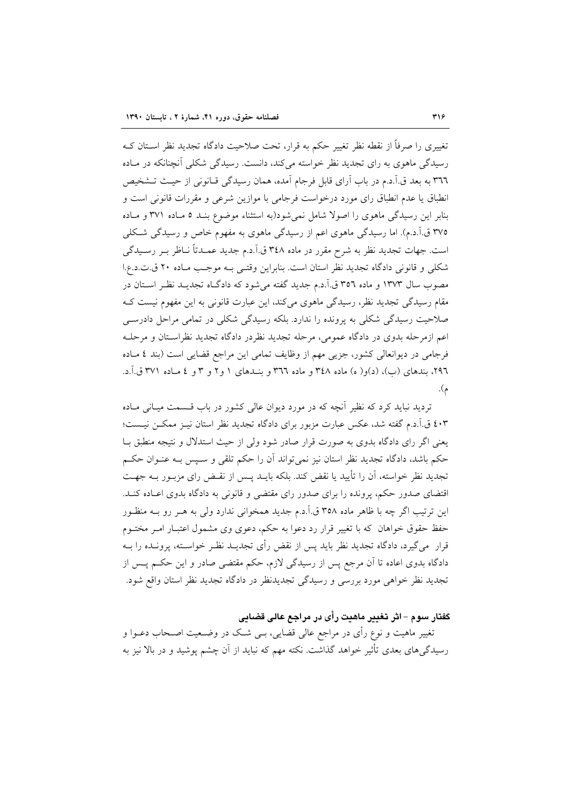تغییری را صرفاً از نقطه نظر تغییر حکم به قرار، تحت صلاحیت دادگاه تجدید نظر اسـتان کـه رسیدگی ماهوی به رای تجدید نظر خواسته میکند، دانست. رسیدگی شکلی آنچنانکه در مـاده ٣٦٦ به بعد ق.اَ.د.م در باب اَراى قابل فرجام اَمده، همان رسيدگي قـانوني از حيـث تـشخيص انطباق یا عدم انطباق رای مورد درخواست فرجامی با موازین شرعی و مقررات قانونی است و بنابر این رسیدگی ماهوی را اصولاً شامل نمی شود(به استثناء موضوع بنـد ٥ مـاده ٣٧١ و مـاده ۳۷۵ ق.آ.د.م). اما رسیدگی ماهوی اعم از رسیدگی ماهوی به مفهوم خاص و رسیدگی شکلی است. جهات تجدید نظر به شرح مقرر در ماده ۳٤٨ ق.آ.د.م جدید عمـدتاً نـاظر بـر رسـیدگی شکلی و قانونی دادگاه تجدید نظر استان است. بنابراین وقتبی بـه موجب مـاده ۲۰ ق.ت.د.ع.ا مصوب سال ۱۳۷۳ و ماده ۳۵٦ ق.اً.د.م جدید گفته می شود که دادگـاه تجدیـد نظـر اسـتان در مقام رسیدگی تجدید نظر، رسیدگی ماهوی میکند، این عبارت قانونی به این مفهوم نیست ک صلاحیت رسیدگی شکلی به پرونده را ندارد. بلکه رسیدگی شکلی در تمامی مراحل دادرسبی اعم ازمرحله بدوی در دادگاه عمومی، مرحله تجدید نظردر دادگاه تجدید نظراستان و مرحلـه فرجامی در دیوانعالی کشور، جزیی مهم از وظایف تمامی این مراجع قضایی است (بند ٤ مـاده ۲۹٦، بندهای (ب)، (د)و( ه) ماده ۳٤۸ و ماده ۳۲٦ و بنــدهای ۱ و۲ و ۳ و ٤ مــاده ۳۷۱ ق.آ.د. م).

تردید نباید کرد که نظیر آنچه که در مورد دیوان عالی کشور در باب قسمت میـانی مـاده ٤٠٣ ق.آ.د.م گفته شد، عكس عبارت مزبور براي دادگاه تجديد نظر استان نيـز ممكـن نيـست؛ یعنی اگر رای دادگاه بدوی به صورت قرار صادر شود ولی از حیث استدلال و نتیجه منطبق بـا حکم باشد، دادگاه تجدید نظر استان نیز نمی تواند اَن را حکم تلقی و سـیس بـه عنـوان حکـم تجدید نظر خواسته، آن را تأیید یا نقض کند. بلکه بایــد پــس از نقــض رای مزبــور بــه جهــت اقتضای صدور حکم، پرونده را برای صدور رای مقتضی و قانونی به دادگاه بدوی اعـاده کنـد. این ترتیب اگر چه با ظاهر ماده ۳۵۸ ق.آ.د.م جدید همخوانی ندارد ولی به هـر رو بــه منظـور حفظ حقوق خواهان که با تغییر قرار رد دعوا به حکم، دعوی وی مشمول اعتبـار امـر مختــوم قرار ً میگیرد، دادگاه تجدید نظر باید پس از نقض رأی تجدیــد نظـر خواسـته، پرونــده را بــه دادگاه بدوی اعاده تا آن مرجع پس از رسیدگی لازم، حکم مقتضی صادر و این حکــم پــس از تجدید نظر خواهی مورد بررسی و رسیدگی تجدیدنظر در دادگاه تجدید نظر استان واقع شود.

#### گفتار سوم – اثر تغییر ماهیت رأی در مراجع عالی قضایی

تغییر ماهیت و نوع رأی در مراجع عالی قضایی، بــی شــک در وضــعیت اصــحاب دعــوا و رسیدگیهای بعدی تأثیر خواهد گذاشت. نکته مهم که نباید از آن چشم پوشید و در بالا نیز به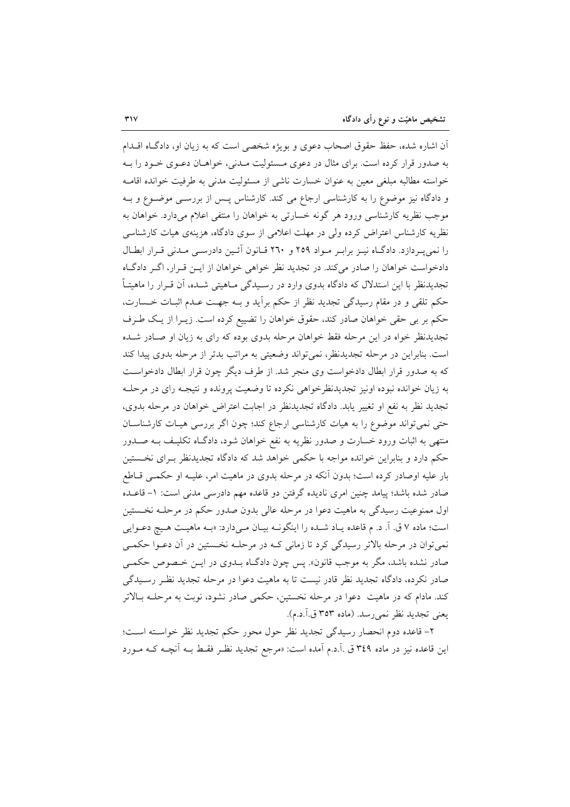آن اشاره شده، حفظ حقوق اصحاب دعوی و بویژه شخصی است که به زیان او، دادگ۱ه اقــدام به صدور قرار کرده است. برای مثال در دعوی مـسئولیت مـدنی، خواهـان دعـوی خـود را بـه خواسته مطالبه مبلغی معین به عنوان خسارت ناشی از مسئولیت مدنی به طرفیت خوانده اقامـه و دادگاه نیز موضوع را به کارشناسی ارجاع می کند. کارشناس پـس از بررسـی موضـوع و بـه موجب نظریه کارشناسی ورود هر گونه خسارتی به خواهان را منتفی اعلام میدارد. خواهان به نظریه کارشناس اعتراض کرده ولی در مهلت اعلامی از سوی دادگاه، هزینهی هیات کارشناسی را نمی په دازد. دادگاه نیـز برابـر مـواد ٢٥٩ و ٢٦٠ قـانون آئـین دادرسـی مـدنی قـرار ابطـال دادخواست خواهان را صادر می کند. در تجدید نظر خواهی خواهان از ایـن قـرار، اگـر دادگـاه تجدیدنظر با این استدلال که دادگاه بدوی وارد در رسـیدگی مـاهیتی شـده، آن قـرار را ماهیتـاً حکم تلقی و در مقام رسیدگی تجدید نظر از حکم برآید و بـه جهـت عـدم اثبـات خـسارت، حکم بر بی حقی خواهان صادر کند، حقوق خواهان را تضییع کرده است. زیــرا از یـک طـرف تجدیدنظر خواه در این مرحله فقط خواهان مرحله بدوی بوده که رای به زیان او صـادر شـده است. بنابراین در مرحله تجدیدنظر، نمیتواند وضعیتی به مراتب بدتر از مرحله بدوی پیدا کند که به صدور قرار ابطال دادخواست وی منجر شد. از طرف دیگر چون قرار ابطال دادخواست به زیان خوانده نبوده اونیز تجدیدنظرخواهی نکرده تا وضعیت پرونده و نتیجـه رای در مرحلـه تجدید نظر به نفع او تغییر یابد. دادگاه تجدیدنظر در اجابت اعتراض خواهان در مرحله بدوی، حتی نمی تواند موضوع را به هیات کارشناسی ارجاع کند؛ چون اگر بررسی هیـات کارشناسـان منتهی به اثبات ورود خسارت و صدور نظریه به نفع خواهان شود، دادگـاه تکلیـف بــه صــدور حکم دارد و بنابراین خوانده مواجه با حکمی خواهد شد که دادگاه تجدیدنظر بـرای نخـستین بار علیه اوصادر کرده است؛ بدون آنکه در مرحله بدوی در ماهیت امر، علیـه او حکمـی قــاطع صادر شده باشد؛ پیامد چنین امری نادیده گرفتن دو قاعده مهم دادرسی مدنی است: ١- قاعـده اول ممنوعیت رسیدگی به ماهیت دعوا در مرحله عالی بدون صدور حکم در مرحلـه نخـستین است؛ ماده ۷ ق. آ. د. م قاعده يـاد شـده را اينگونــه بيـان مـىدارد: «بــه ماهيــت هـيچ دعــوايي نمي توان در مرحله بالاتر رسيدگي كرد تا زماني كـه در مرحلـه نخـستين در آن دعـوا حكمـي صادر نشده باشد، مگر به موجب قانون». پس چون دادگــاه بــدوی در ایــن خــصوص حکمــی صادر نکرده، دادگاه تجدید نظر قادر نیست تا به ماهیت دعوا در مرحله تجدید نظـر رسـیدگی کند. مادام که در ماهیت ً دعوا در مرحله نخستین، حکمی صادر نشود، نوبت به مرحلـه بـالاتر يعني تجديد نظر نمي رسد. (ماده ٣٥٣ ق.آ.د.م).

۲– قاعده دوم انحصار رسیدگی تجدید نظر حول محور حکم تجدید نظر خواسـته اسـت؛ این قاعده نیز در ماده ۳٤٩ ق .آ.د.م آمده است: «مرجع تجدید نظـر فقـط بــه آنچــه کــه مــورد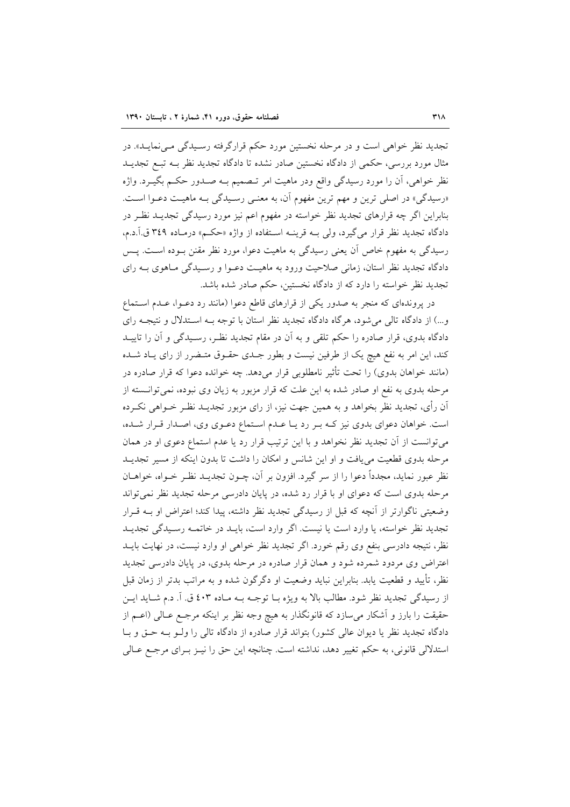تجدید نظر خواهی است و در مرحله نخستین مورد حکم قرارگرفته رسـیدگی مـیiمایـد». در مثال مورد بررسی، حکمی از دادگاه نخستین صادر نشده تا دادگاه تجدید نظر بــه تبــع تجدیــد نظر خواهی، اَن را مورد رسیدگی واقع ودر ماهیت امر تـصمیم بــه صــدور حکــم بگیــرد. واژه «رسیدگی» در اصلی ترین و مهم ترین مفهوم آن، به معنـی رسـیدگی بـه ماهیـت دعـوا اسـت. بنابراین اگر چه قرارهای تجدید نظر خواسته در مفهوم اعم نیز مورد رسیدگی تجدیــد نظــر در دادگاه تجدید نظر قرار میگیرد، ولی بـه قرینـه اسـتفاده از واژه «حکـم» درمـاده ۳٤٩ ق.آ.د.م، رسیدگی به مفهوم خاص آن یعنی رسیدگی به ماهیت دعوا، مورد نظر مقنن بـوده اسـت. پـس دادگاه تجدید نظر استان، زمانی صلاحیت ورود به ماهیت دعـوا و رسـیدگی مـاهوی بــه رای تجدید نظر خواسته را دارد که از دادگاه نخستین، حکم صادر شده باشد.

در پروندهای که منجر به صدور یکی از قرارهای قاطع دعوا (مانند رد دعـوا، عـدم اسـتماع و...) از دادگاه تالی می شود، هرگاه دادگاه تجدید نظر استان با توجه بـه اسـتدلال و نتیجـه رای دادگاه بدوی، قرار صادره را حکم تلقی و به آن در مقام تجدید نظـر، رسـیدگی و آن را تاییــد کند، این امر به نفع هیچ یک از طرفین نیست و بطور جـدی حقـوق متـضرر از رای یـاد شـده (مانند خواهان بدوی) را تحت تأثیر نامطلوبی قرار می دهد. چه خوانده دعوا که قرار صادره در مرحله بدوی به نفع او صادر شده به این علت که قرار مزبور به زیان وی نبوده، نمی توانــسته از آن رأى، تجديد نظر بخواهد و به همين جهت نيز، از راى مزبور تجديــد نظـر خــواهـي نكــرده است. خواهان دعوای بدوی نیز کـه بـر رد یـا عـدم اسـتماع دعـوی وی، اصـدار قـرار شـده، می توانست از آن تجدید نظر نخواهد و با این ترتیب قرار رد یا عدم استماع دعوی او در همان مرحله بدوی قطعیت می یافت و او این شانس و امکان را داشت تا بدون اینکه از مسیر تجدیـد نظر عبور نماید، مجدداً دعوا را از سر گیرد. افزون بر آن، چــون تجدیــد نظـر خــواه، خواهــان مرحله بدوی است که دعوای او با قرار رد شده، در پایان دادرسی مرحله تجدید نظر نمی تواند وضعیتی ناگوارتر از آنچه که قبل از رسیدگی تجدید نظر داشته، پیدا کند؛ اعتراض او بـه قـرار تجدید نظر خواسته، یا وارد است یا نیست. اگر وارد است، بایـد در خاتمـه رسـیدگی تجدیـد نظر، نتیجه دادرسی بنفع وی رقم خورد. اگر تجدید نظر خواهی او وارد نیست، در نهایت بایــد اعتراض وی مردود شمرده شود و همان قرار صادره در مرحله بدوی، در پایان دادرسی تجدید نظر، تأييد و قطعيت يابد. بنابراين نبايد وضعيت او دگرگون شده و به مراتب بدتر از زمان قبل از رسیدگی تجدید نظر شود. مطالب بالا به ویژه بـا توجـه بـه مـاده ٤٠٣ ق. آ. د.م شـاید ایـن حقیقت را بارز و آشکار می سازد که قانونگذار به هیچ وجه نظر بر اینکه مرجـع عـالی (اعـم از دادگاه تجدید نظر یا دیوان عالی کشور) بتواند قرار صادره از دادگاه تالی را ولـو بـه حـق و بـا استدلالي قانوني، به حكم تغيير دهد، نداشته است. چنانچه اين حق را نيـز بـراي مرجـع عـالي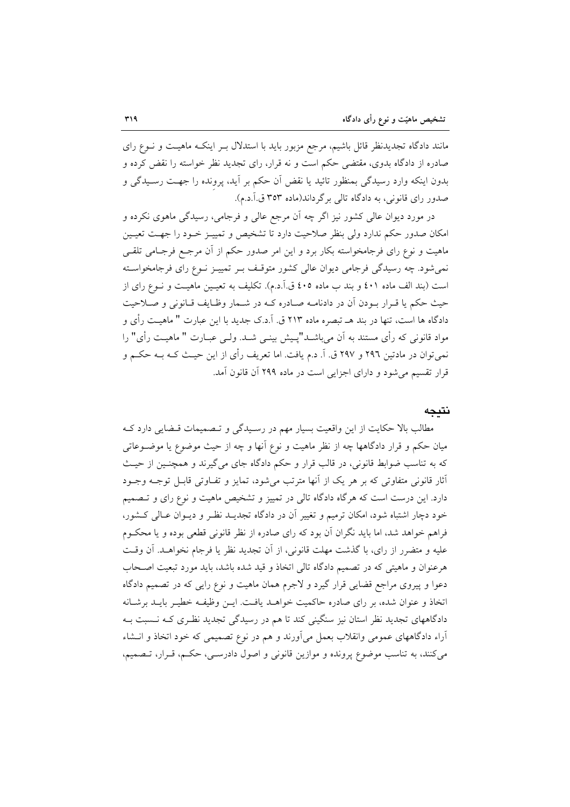مانند دادگاه تجدیدنظر قائل باشیم، مرجع مزبور باید با استدلال بـر اینکـه ماهیـت و نـوع رای صادره از دادگاه بدوی، مقتضی حکم است و نه قرار، رای تجدید نظر خواسته را نقض کرده و بدون اینکه وارد رسیدگی بمنظور تائید یا نقض آن حکم بر اَید، پرونده را جهـت رسـیدگی و صدور رای قانونی، به دادگاه تالی بر گرداند(ماده ۳۵۳ ق.آ.د.م).

در مورد دیوان عالی کشور نیز اگر چه آن مرجع عالی و فرجامی، رسیدگی ماهوی نکرده و امکان صدور حکم ندارد ولی بنظر صلاحیت دارد تا تشخیص و تمییـز خـود را جهـت تعیـین ماهیت و نوع رای فرجامخواسته بکار برد و این امر صدور حکم از آن مرجـع فرجـامی تلقـی نمی شود. چه رسیدگی فرجامی دیوان عالی کشور متوقـف بـر تمییـز نـوع رای فرجامخواسـته است (بند الف ماده ٤٠١ و بند ب ماده ٤٠٥ ق.آ.د.م). تكليف به تعيـين ماهيـت و نـوع راى از حيث حكم يا قـرار بـودن أن در دادنامـه صـادره كـه در شـمار وظـايف قـانوني و صـلاحيت دادگاه ها است، تنها در بند هــ تبصره ماده ۲۱۳ ق. آ.د.ک جدید با این عبارت " ماهیـت رأی و مواد قانونی که رأی مستند به آن میباشــد"پــیش بینــی شــد. ولــی عبــارت " ماهیــت رأی" را نمي توان در مادتين ٢٩٦ و ٢٩٧ ق. آ. د.م يافت. اما تعريف رأى از اين حيـث کــه بــه حکــم و قرار تقسیم می شود و دارای اجزایی است در ماده ۲۹۹ آن قانون آمد.

#### نتىجە

مطالب بالا حکایت از این واقعیت بسیار مهم در رسـیدگی و تـصمیمات قـضایی دارد کـه میان حکم و قرار دادگاهها چه از نظر ماهیت و نوع آنها و چه از حیث موضوع یا موضــوعاتمی که به تناسب ضوابط قانوني، در قالب قرار و حکم دادگاه جاي مي گيرند و همچنـين از حيـث أثار قانونی متفاوتی که بر هر یک از آنها مترتب میشود، تمایز و تفـاوتی قابـل توجـه وجـود دارد. این درست است که هرگاه دادگاه تالی در تمییز و تشخیص ماهیت و نوع رای و تـصمیم خود دچار اشتباه شود، امکان ترمیم و تغییر آن در دادگاه تجدیــد نظـر و دیــوان عــالی کــشور، فراهم خواهد شد، اما باید نگران آن بود که رای صادره از نظر قانونی قطعی بوده و یا محکـوم عليه و متضرر از راي، با گذشت مهلت قانوني، از آن تجديد نظر يا فرجام نخواهـد. آن وقـت هرعنوان و ماهیتی که در تصمیم دادگاه تالی اتخاذ و قید شده باشد، باید مورد تبعیت اصـحاب دعوا و پیروی مراجع قضایی قرار گیرد و لاجرم همان ماهیت و نوع رایی که در تصمیم دادگاه اتخاذ و عنوان شده، بر رای صادره حاکمیت خواهـد یافـت. ایــن وظیفـه خطیـر بایــد برشــانه دادگاههای تجدید نظر استان نیز سنگینی کند تا هم در رسیدگی تجدید نظـری کـه نـسبت بـه آراء دادگاههای عمومی وانقلاب بعمل میآورند و هم در نوع تصمیمی که خود اتخاذ و انــشاء مي كنند، به تناسب موضوع پرونده و موازين قانوني و اصول دادرسـي، حكـم، قـرار، تــصميم،